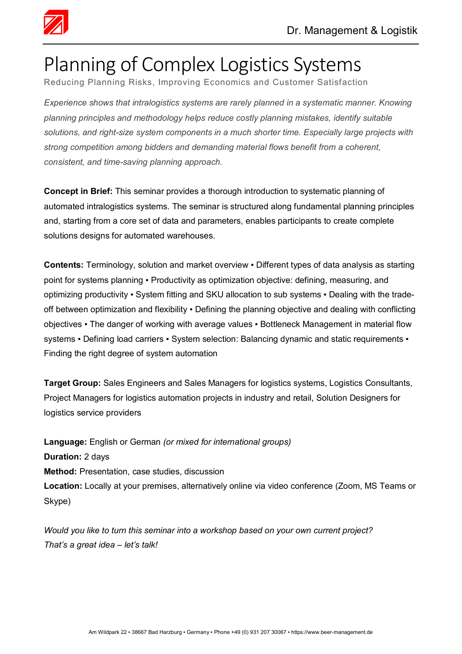

## Planning of Complex Logistics Systems

Reducing Planning Risks, Improving Economics and Customer Satisfaction

*Experience shows that intralogistics systems are rarely planned in a systematic manner. Knowing planning principles and methodology helps reduce costly planning mistakes, identify suitable solutions, and right-size system components in a much shorter time. Especially large projects with strong competition among bidders and demanding material flows benefit from a coherent, consistent, and time-saving planning approach.*

**Concept in Brief:** This seminar provides a thorough introduction to systematic planning of automated intralogistics systems. The seminar is structured along fundamental planning principles and, starting from a core set of data and parameters, enables participants to create complete solutions designs for automated warehouses.

**Contents:** Terminology, solution and market overview ▪ Different types of data analysis as starting point for systems planning · Productivity as optimization objective: defining, measuring, and optimizing productivity • System fitting and SKU allocation to sub systems • Dealing with the tradeoff between optimization and flexibility ▪ Defining the planning objective and dealing with conflicting objectives ▪ The danger of working with average values ▪ Bottleneck Management in material flow systems • Defining load carriers • System selection: Balancing dynamic and static requirements • Finding the right degree of system automation

**Target Group:** Sales Engineers and Sales Managers for logistics systems, Logistics Consultants, Project Managers for logistics automation projects in industry and retail, Solution Designers for logistics service providers

**Language:** English or German *(or mixed for international groups)* **Duration:** 2 days **Method:** Presentation, case studies, discussion **Location:** Locally at your premises, alternatively online via video conference (Zoom, MS Teams or Skype)

*Would you like to turn this seminar into a workshop based on your own current project? That's a great idea – let's talk!*